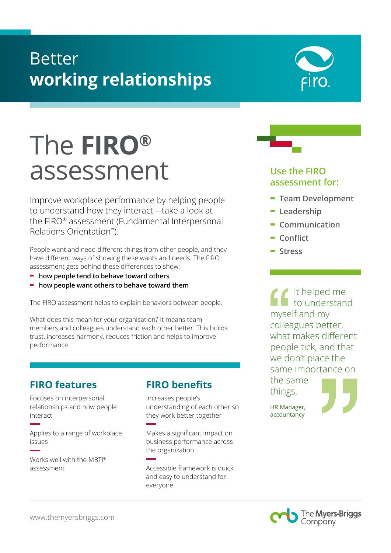## Better **working relationships**

# The **FIRO®** assessment

Improve workplace performance by helping people to understand how they interact – take a look at the FIRO® assessment (Fundamental Interpersonal Relations Orientation™).

People want and need different things from other people, and they have different ways of showing these wants and needs. The FIRO assessment gets behind these differences to show:

- **- how people tend to behave toward others**
- **- how people want others to behave toward them**

The FIRO assessment helps to explain behaviors between people.

What does this mean for your organisation? It means team members and colleagues understand each other better. This builds trust, increases harmony, reduces friction and helps to improve performance.

### **FIRO features**

Focuses on interpersonal relationships and how people interact

Applies to a range of workplace issues

Works well with the MBTI® assessment

### **FIRO benefits**

Increases people's understanding of each other so they work better together

Makes a significant impact on business performance across the organization

Accessible framework is quick and easy to understand for everyone



### **Use the FIRO assessment for:**

- **- Team Development**
- **- Leadership**
- **- Communication**
- **- Conflict**
- **- Stress**

It helped me to understand myself and my colleagues better, what makes different people tick, and that we don't place the same importance on the same things.

HR Manager, accountancy